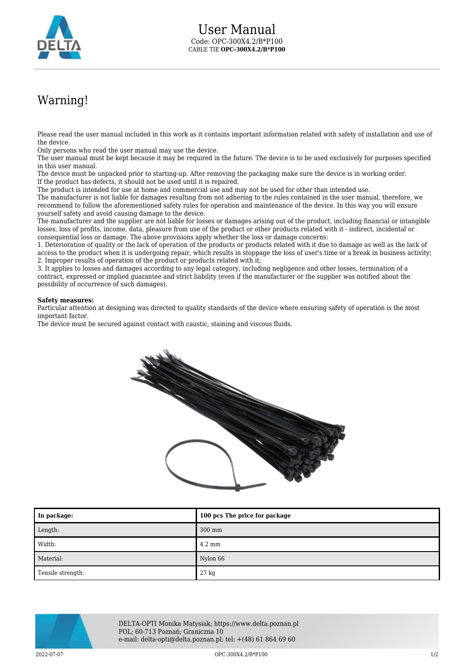

## Warning!

Please read the user manual included in this work as it contains important information related with safety of installation and use of the device.

Only persons who read the user manual may use the device.

The user manual must be kept because it may be required in the future. The device is to be used exclusively for purposes specified in this user manual.

The device must be unpacked prior to starting-up. After removing the packaging make sure the device is in working order. If the product has defects, it should not be used until it is repaired.

The product is intended for use at home and commercial use and may not be used for other than intended use.

The manufacturer is not liable for damages resulting from not adhering to the rules contained in the user manual, therefore, we recommend to follow the aforementioned safety rules for operation and maintenance of the device. In this way you will ensure yourself safety and avoid causing damage to the device.

The manufacturer and the supplier are not liable for losses or damages arising out of the product, including financial or intangible losses, loss of profits, income, data, pleasure from use of the product or other products related with it - indirect, incidental or consequential loss or damage. The above provisions apply whether the loss or damage concerns:

1. Deterioration of quality or the lack of operation of the products or products related with it due to damage as well as the lack of access to the product when it is undergoing repair, which results in stoppage the loss of user's time or a break in business activity; 2. Improper results of operation of the product or products related with it;

3. It applies to losses and damages according to any legal category, including negligence and other losses, termination of a contract, expressed or implied guarantee and strict liability (even if the manufacturer or the supplier was notified about the possibility of occurrence of such damages).

## **Safety measures:**

Particular attention at designing was directed to quality standards of the device where ensuring safety of operation is the most important factor.

The device must be secured against contact with caustic, staining and viscous fluids.



| In package:       | 100 pcs The price for package |
|-------------------|-------------------------------|
| Length:           | 300 mm                        |
| Width:            | $4.2 \text{ mm}$              |
| Material:         | Nylon 66                      |
| Tensile strength: | 27 kg                         |



DELTA-OPTI Monika Matysiak; https://www.delta.poznan.pl POL; 60-713 Poznań; Graniczna 10 e-mail: delta-opti@delta.poznan.pl; tel: +(48) 61 864 69 60

 $OPC-300X4.2/B*P100$  and the contract of the contract of the contract of the contract of the contract of the contract of the contract of the contract of the contract of the contract of the contract of the contract of the con